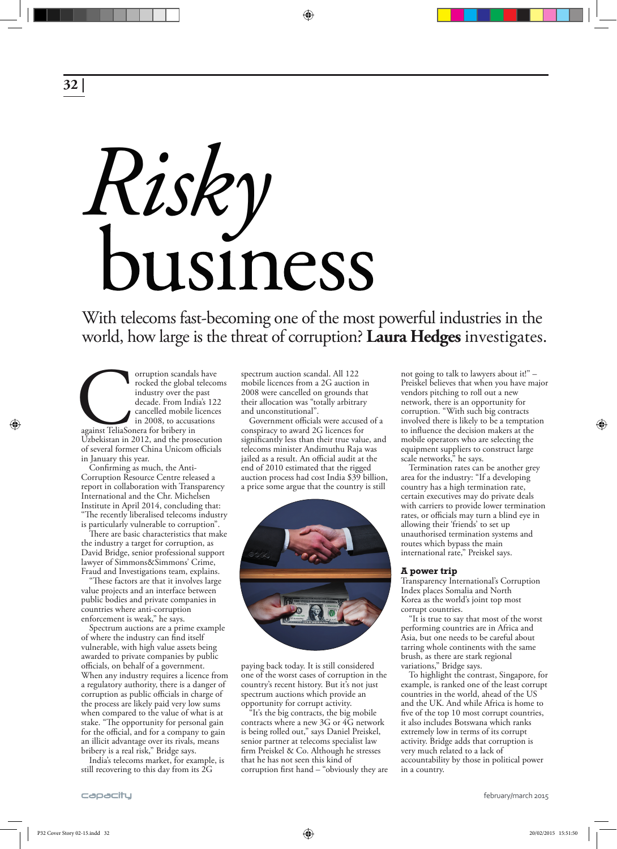**32 |**

◈

# *Risky*

With telecoms fast-becoming one of the most powerful industries in the world, how large is the threat of corruption? **Laura Hedges** investigates.

⊕

orruption scandals have<br>
rocked the global telecom<br>
industry over the past<br>
decade. From India's 122<br>
cancelled mobile licences<br>
in 2008, to accusations<br>
against TeliaSonera for bribery in<br>
Uzbekistan in 2012, and the pros rocked the global telecoms industry over the past decade. From India's 122 cancelled mobile licences in 2008, to accusations against TeliaSonera for bribery in of several former China Unicom officials in January this year.

Confirming as much, the Anti-Corruption Resource Centre released a report in collaboration with Transparency International and the Chr. Michelsen Institute in April 2014, concluding that: "The recently liberalised telecoms industry is particularly vulnerable to corruption".

There are basic characteristics that make the industry a target for corruption, as David Bridge, senior professional support lawyer of Simmons&Simmons' Crime, Fraud and Investigations team, explains.

"These factors are that it involves large value projects and an interface between public bodies and private companies in countries where anti-corruption enforcement is weak," he says.

Spectrum auctions are a prime example of where the industry can find itself vulnerable, with high value assets being awarded to private companies by public officials, on behalf of a government. When any industry requires a licence from a regulatory authority, there is a danger of corruption as public officials in charge of the process are likely paid very low sums when compared to the value of what is at stake. "The opportunity for personal gain for the official, and for a company to gain an illicit advantage over its rivals, means bribery is a real risk," Bridge says.

India's telecoms market, for example, is still recovering to this day from its  $2\overline{G}$ 

spectrum auction scandal. All 122 mobile licences from a 2G auction in 2008 were cancelled on grounds that their allocation was "totally arbitrary and unconstitutional".

Government officials were accused of a conspiracy to award 2G licences for significantly less than their true value, and telecoms minister Andimuthu Raja was jailed as a result. An official audit at the end of 2010 estimated that the rigged auction process had cost India \$39 billion, a price some argue that the country is still



paying back today. It is still considered one of the worst cases of corruption in the country's recent history. But it's not just spectrum auctions which provide an opportunity for corrupt activity.

<sup>t</sup>It's the big contracts, the big mobile contracts where a new 3G or 4G network is being rolled out," says Daniel Preiskel, senior partner at telecoms specialist law firm Preiskel & Co. Although he stresses that he has not seen this kind of corruption first hand  $-$  "obviously they are

not going to talk to lawyers about it!" – Preiskel believes that when you have major vendors pitching to roll out a new network, there is an opportunity for corruption. "With such big contracts involved there is likely to be a temptation to influence the decision makers at the mobile operators who are selecting the equipment suppliers to construct large scale networks," he says.

◈

Termination rates can be another grey area for the industry: "If a developing country has a high termination rate, certain executives may do private deals with carriers to provide lower termination rates, or officials may turn a blind eye in allowing their 'friends' to set up unauthorised termination systems and routes which bypass the main international rate," Preiskel says.

### **A power trip**

Transparency International's Corruption Index places Somalia and North Korea as the world's joint top most corrupt countries.

"It is true to say that most of the worst performing countries are in Africa and Asia, but one needs to be careful about tarring whole continents with the same brush, as there are stark regional variations," Bridge says.

To highlight the contrast, Singapore, for example, is ranked one of the least corrupt countries in the world, ahead of the US and the UK. And while Africa is home to five of the top 10 most corrupt countries, it also includes Botswana which ranks extremely low in terms of its corrupt activity. Bridge adds that corruption is very much related to a lack of accountability by those in political power in a country.

february/march 2015

capacity